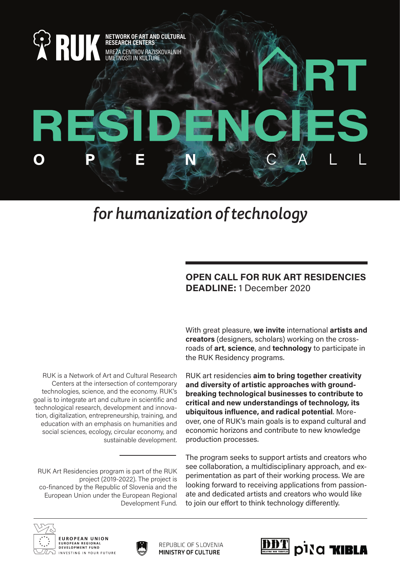

## *for humanization of technology*

## **OPEN CALL FOR RUK ART RESIDENCIES DEADLINE:** 1 December 2020

RUK is a Network of Art and Cultural Research Centers at the intersection of contemporary technologies, science, and the economy. RUK's goal is to integrate art and culture in scientific and technological research, development and innovation, digitalization, entrepreneurship, training, and education with an emphasis on humanities and social sciences, ecology, circular economy, and sustainable development.

RUK Art Residencies program is part of the RUK project (2019-2022). The project is co-financed by the Republic of Slovenia and the European Union under the European Regional Development Fund. With great pleasure, **we invite** international **artists and creators** (designers, scholars) working on the crossroads of **art**, **science**, and **technology** to participate in the RUK Residency programs.

RUK art residencies **aim to bring together creativity and diversity of artistic approaches with groundbreaking technological businesses to contribute to critical and new understandings of technology, its ubiquitous influence, and radical potential**. Moreover, one of RUK's main goals is to expand cultural and economic horizons and contribute to new knowledge production processes.

The program seeks to support artists and creators who see collaboration, a multidisciplinary approach, and experimentation as part of their working process. We are looking forward to receiving applications from passionate and dedicated artists and creators who would like to join our effort to think technology differently.





REPUBLIC OF SLOVENIA **MINISTRY OF CULTURE**